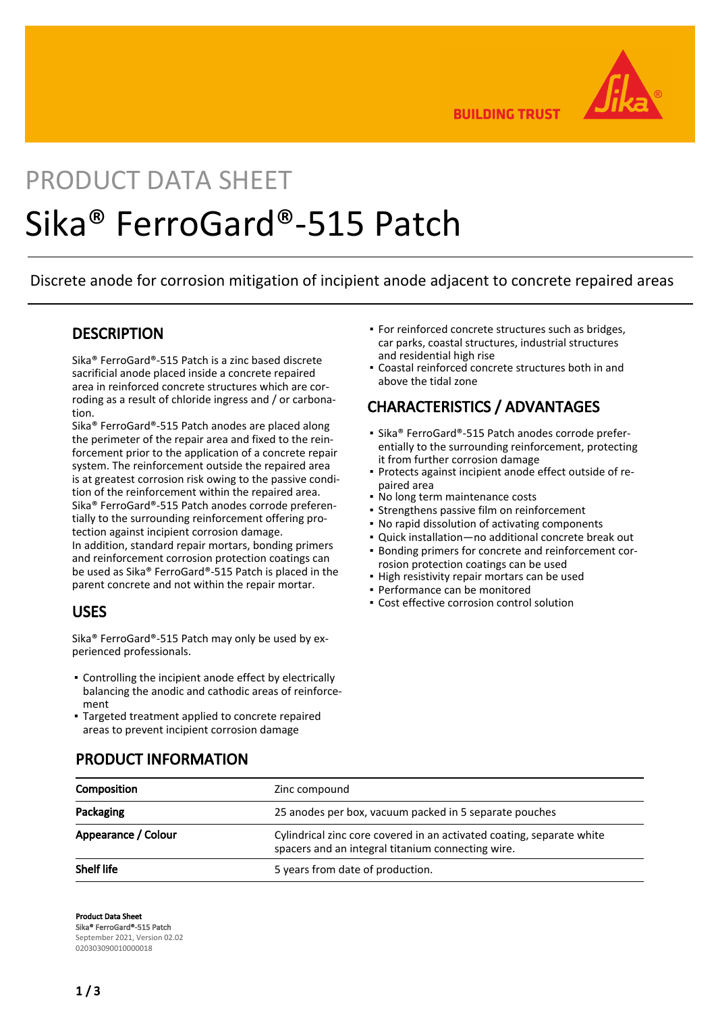

**BUILDING TRUST** 

# PRODUCT DATA SHEET Sika® FerroGard®-515 Patch

Discrete anode for corrosion mitigation of incipient anode adjacent to concrete repaired areas

#### **DESCRIPTION**

Sika® FerroGard®-515 Patch is a zinc based discrete sacrificial anode placed inside a concrete repaired area in reinforced concrete structures which are corroding as a result of chloride ingress and / or carbonation.

Sika® FerroGard®-515 Patch anodes are placed along the perimeter of the repair area and fixed to the reinforcement prior to the application of a concrete repair system. The reinforcement outside the repaired area is at greatest corrosion risk owing to the passive condition of the reinforcement within the repaired area. Sika® FerroGard®-515 Patch anodes corrode preferentially to the surrounding reinforcement offering protection against incipient corrosion damage. In addition, standard repair mortars, bonding primers and reinforcement corrosion protection coatings can be used as Sika® FerroGard®-515 Patch is placed in the parent concrete and not within the repair mortar.

#### USES

Sika® FerroGard®-515 Patch may only be used by experienced professionals.

- Controlling the incipient anode effect by electrically balancing the anodic and cathodic areas of reinforcement
- Targeted treatment applied to concrete repaired areas to prevent incipient corrosion damage
- **For reinforced concrete structures such as bridges,** car parks, coastal structures, industrial structures and residential high rise
- Coastal reinforced concrete structures both in and above the tidal zone

#### CHARACTERISTICS / ADVANTAGES

- Sika® FerroGard®-515 Patch anodes corrode preferentially to the surrounding reinforcement, protecting it from further corrosion damage
- Protects against incipient anode effect outside of re-▪ paired area
- No long term maintenance costs
- **Strengthens passive film on reinforcement**
- No rapid dissolution of activating components
- Quick installation—no additional concrete break out
- Bonding primers for concrete and reinforcement cor-▪ rosion protection coatings can be used
- High resistivity repair mortars can be used
- Performance can be monitored
- Cost effective corrosion control solution

| Composition         | Zinc compound                                                                                                              |
|---------------------|----------------------------------------------------------------------------------------------------------------------------|
| Packaging           | 25 anodes per box, vacuum packed in 5 separate pouches                                                                     |
| Appearance / Colour | Cylindrical zinc core covered in an activated coating, separate white<br>spacers and an integral titanium connecting wire. |
| <b>Shelf life</b>   | 5 years from date of production.                                                                                           |

#### PRODUCT INFORMATION

Product Data Sheet Sika® FerroGard®-515 Patch September 2021, Version 02.02 020303090010000018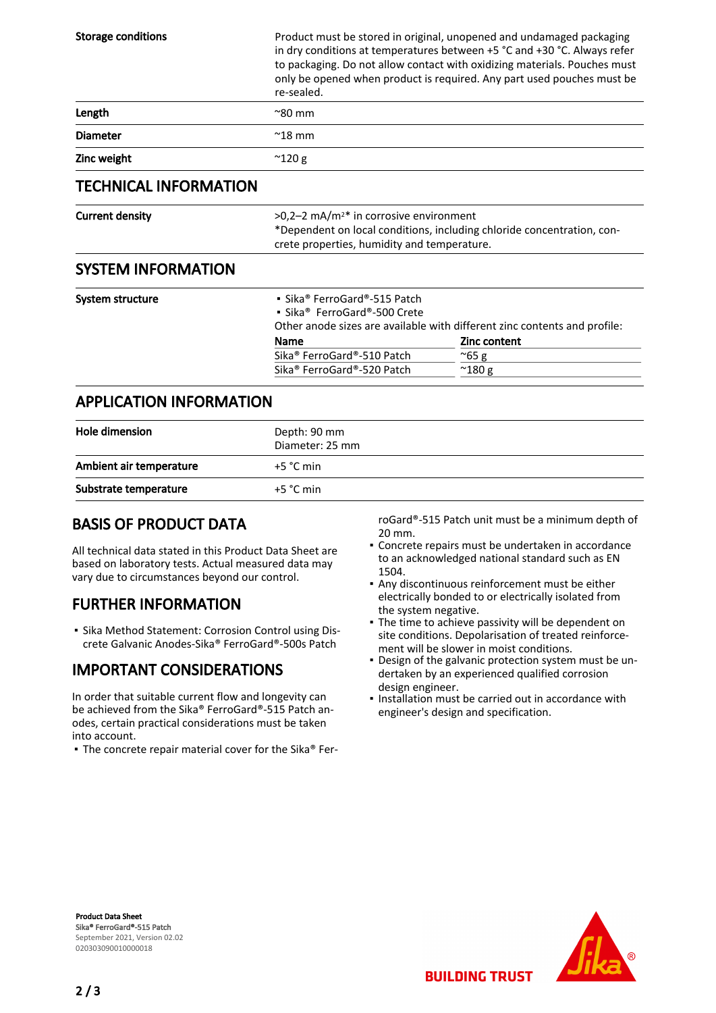| <b>Storage conditions</b>      | re-sealed.                                                                                                                                                                    | Product must be stored in original, unopened and undamaged packaging<br>in dry conditions at temperatures between +5 °C and +30 °C. Always refer<br>to packaging. Do not allow contact with oxidizing materials. Pouches must<br>only be opened when product is required. Any part used pouches must be |
|--------------------------------|-------------------------------------------------------------------------------------------------------------------------------------------------------------------------------|---------------------------------------------------------------------------------------------------------------------------------------------------------------------------------------------------------------------------------------------------------------------------------------------------------|
| Length                         | $^{\sim}80$ mm                                                                                                                                                                |                                                                                                                                                                                                                                                                                                         |
| <b>Diameter</b>                | $^{\sim}$ 18 mm                                                                                                                                                               |                                                                                                                                                                                                                                                                                                         |
| Zinc weight                    | $^{\sim}$ 120 g                                                                                                                                                               |                                                                                                                                                                                                                                                                                                         |
| <b>TECHNICAL INFORMATION</b>   |                                                                                                                                                                               |                                                                                                                                                                                                                                                                                                         |
| <b>Current density</b>         | $>0.2-2$ mA/m <sup>2*</sup> in corrosive environment<br>*Dependent on local conditions, including chloride concentration, con-<br>crete properties, humidity and temperature. |                                                                                                                                                                                                                                                                                                         |
| <b>SYSTEM INFORMATION</b>      |                                                                                                                                                                               |                                                                                                                                                                                                                                                                                                         |
| System structure               | • Sika® FerroGard®-515 Patch<br>• Sika <sup>®</sup> FerroGard®-500 Crete<br>Name<br>Sika <sup>®</sup> FerroGard®-510 Patch<br>Sika <sup>®</sup> FerroGard®-520 Patch          | Other anode sizes are available with different zinc contents and profile:<br>Zinc content<br>$^{\sim}65$ g<br>$^{\sim}$ 180 g                                                                                                                                                                           |
| <b>APPLICATION INFORMATION</b> |                                                                                                                                                                               |                                                                                                                                                                                                                                                                                                         |
| Hole dimension                 | Depth: 90 mm                                                                                                                                                                  |                                                                                                                                                                                                                                                                                                         |

| <b>Hole dimension</b>   | Depth: 90 mm<br>Diameter: 25 mm |
|-------------------------|---------------------------------|
| Ambient air temperature | $+5 °C$ min                     |
| Substrate temperature   | $+5$ °C min                     |

## BASIS OF PRODUCT DATA

All technical data stated in this Product Data Sheet are based on laboratory tests. Actual measured data may vary due to circumstances beyond our control.

## FURTHER INFORMATION

Sika Method Statement: Corrosion Control using Dis-▪ crete Galvanic Anodes-Sika® FerroGard®-500s Patch

## IMPORTANT CONSIDERATIONS

In order that suitable current flow and longevity can be achieved from the Sika® FerroGard®-515 Patch anodes, certain practical considerations must be taken into account.

▪ The concrete repair material cover for the Sika® Fer-

roGard®-515 Patch unit must be a minimum depth of 20 mm.

- Concrete repairs must be undertaken in accordance to an acknowledged national standard such as EN 1504.
- Any discontinuous reinforcement must be either electrically bonded to or electrically isolated from the system negative.
- The time to achieve passivity will be dependent on site conditions. Depolarisation of treated reinforcement will be slower in moist conditions.
- Design of the galvanic protection system must be un-▪ dertaken by an experienced qualified corrosion design engineer.
- **.** Installation must be carried out in accordance with engineer's design and specification.

**BUILDING TRUST** 

Product Data Sheet Sika® FerroGard®-515 Patch September 2021, Version 02.02 020303090010000018